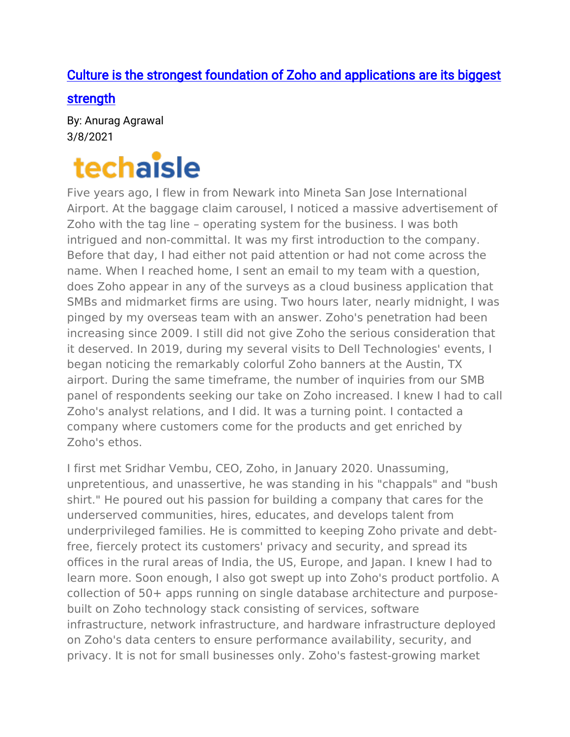## [Culture is the strongest foundation of Zoho and applications are its biggest](https://techaisle.com/blog/446-culture-is-the-strongest-foundation-of-zoho-and-applications-are-its-biggest-strength)

[strength](https://techaisle.com/blog/446-culture-is-the-strongest-foundation-of-zoho-and-applications-are-its-biggest-strength) 

By: Anurag Agrawal 3/8/2021

## techaisle

Five years ago, I flew in from Newark into Mineta San Jose International Airport. At the baggage claim carousel, I noticed a massive advertisement of Zoho with the tag line – operating system for the business. I was both intrigued and non-committal. It was my first introduction to the company. Before that day, I had either not paid attention or had not come across the name. When I reached home, I sent an email to my team with a question, does Zoho appear in any of the surveys as a cloud business application that SMBs and midmarket firms are using. Two hours later, nearly midnight, I was pinged by my overseas team with an answer. Zoho's penetration had been increasing since 2009. I still did not give Zoho the serious consideration that it deserved. In 2019, during my several visits to Dell Technologies' events, I began noticing the remarkably colorful Zoho banners at the Austin, TX airport. During the same timeframe, the number of inquiries from our SMB panel of respondents seeking our take on Zoho increased. I knew I had to call Zoho's analyst relations, and I did. It was a turning point. I contacted a company where customers come for the products and get enriched by Zoho's ethos.

I first met Sridhar Vembu, CEO, Zoho, in January 2020. Unassuming, unpretentious, and unassertive, he was standing in his "chappals" and "bush shirt." He poured out his passion for building a company that cares for the underserved communities, hires, educates, and develops talent from underprivileged families. He is committed to keeping Zoho private and debtfree, fiercely protect its customers' privacy and security, and spread its offices in the rural areas of India, the US, Europe, and Japan. I knew I had to learn more. Soon enough, I also got swept up into Zoho's product portfolio. A collection of 50+ apps running on single database architecture and purposebuilt on Zoho technology stack consisting of services, software infrastructure, network infrastructure, and hardware infrastructure deployed on Zoho's data centers to ensure performance availability, security, and privacy. It is not for small businesses only. Zoho's fastest-growing market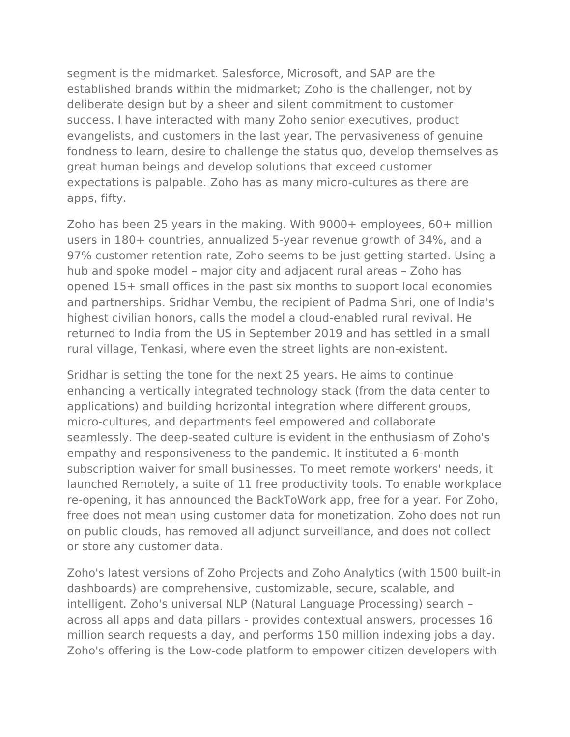segment is the midmarket. Salesforce, Microsoft, and SAP are the established brands within the midmarket; Zoho is the challenger, not by deliberate design but by a sheer and silent commitment to customer success. I have interacted with many Zoho senior executives, product evangelists, and customers in the last year. The pervasiveness of genuine fondness to learn, desire to challenge the status quo, develop themselves as great human beings and develop solutions that exceed customer expectations is palpable. Zoho has as many micro-cultures as there are apps, fifty.

Zoho has been 25 years in the making. With 9000+ employees, 60+ million users in 180+ countries, annualized 5-year revenue growth of 34%, and a 97% customer retention rate, Zoho seems to be just getting started. Using a hub and spoke model – major city and adjacent rural areas – Zoho has opened 15+ small offices in the past six months to support local economies and partnerships. Sridhar Vembu, the recipient of Padma Shri, one of India's highest civilian honors, calls the model a cloud-enabled rural revival. He returned to India from the US in September 2019 and has settled in a small rural village, Tenkasi, where even the street lights are non-existent.

Sridhar is setting the tone for the next 25 years. He aims to continue enhancing a vertically integrated technology stack (from the data center to applications) and building horizontal integration where different groups, micro-cultures, and departments feel empowered and collaborate seamlessly. The deep-seated culture is evident in the enthusiasm of Zoho's empathy and responsiveness to the pandemic. It instituted a 6-month subscription waiver for small businesses. To meet remote workers' needs, it launched Remotely, a suite of 11 free productivity tools. To enable workplace re-opening, it has announced the BackToWork app, free for a year. For Zoho, free does not mean using customer data for monetization. Zoho does not run on public clouds, has removed all adjunct surveillance, and does not collect or store any customer data.

Zoho's latest versions of Zoho Projects and Zoho Analytics (with 1500 built-in dashboards) are comprehensive, customizable, secure, scalable, and intelligent. Zoho's universal NLP (Natural Language Processing) search – across all apps and data pillars - provides contextual answers, processes 16 million search requests a day, and performs 150 million indexing jobs a day. Zoho's offering is the Low-code platform to empower citizen developers with